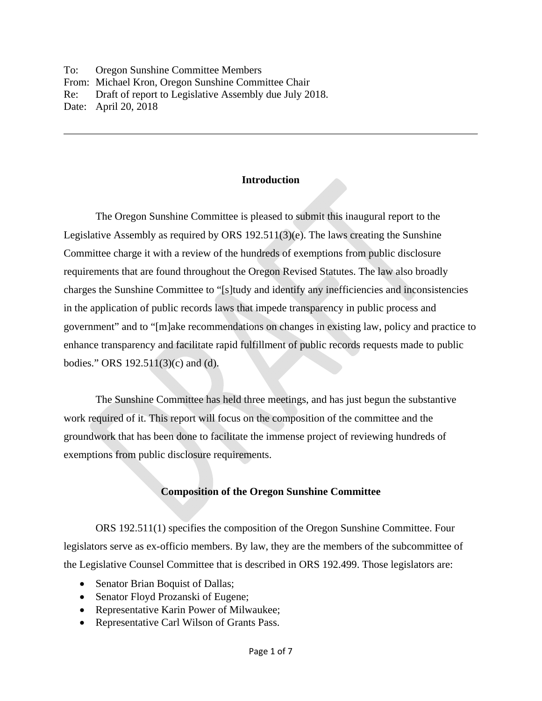To: Oregon Sunshine Committee Members From: Michael Kron, Oregon Sunshine Committee Chair Re: Draft of report to Legislative Assembly due July 2018. Date: April 20, 2018

### **Introduction**

 The Oregon Sunshine Committee is pleased to submit this inaugural report to the Legislative Assembly as required by ORS 192.511(3)(e). The laws creating the Sunshine Committee charge it with a review of the hundreds of exemptions from public disclosure requirements that are found throughout the Oregon Revised Statutes. The law also broadly charges the Sunshine Committee to "[s]tudy and identify any inefficiencies and inconsistencies in the application of public records laws that impede transparency in public process and government" and to "[m]ake recommendations on changes in existing law, policy and practice to enhance transparency and facilitate rapid fulfillment of public records requests made to public bodies." ORS 192.511(3)(c) and (d).

 The Sunshine Committee has held three meetings, and has just begun the substantive work required of it. This report will focus on the composition of the committee and the groundwork that has been done to facilitate the immense project of reviewing hundreds of exemptions from public disclosure requirements.

## **Composition of the Oregon Sunshine Committee**

 ORS 192.511(1) specifies the composition of the Oregon Sunshine Committee. Four legislators serve as ex-officio members. By law, they are the members of the subcommittee of the Legislative Counsel Committee that is described in ORS 192.499. Those legislators are:

- Senator Brian Boquist of Dallas;
- Senator Floyd Prozanski of Eugene;
- Representative Karin Power of Milwaukee;
- Representative Carl Wilson of Grants Pass.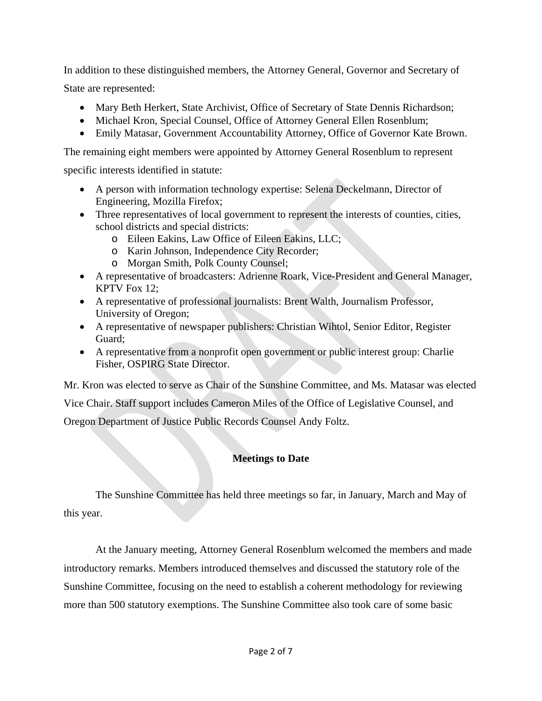In addition to these distinguished members, the Attorney General, Governor and Secretary of State are represented:

- Mary Beth Herkert, State Archivist, Office of Secretary of State Dennis Richardson;
- Michael Kron, Special Counsel, Office of Attorney General Ellen Rosenblum;
- Emily Matasar, Government Accountability Attorney, Office of Governor Kate Brown.

The remaining eight members were appointed by Attorney General Rosenblum to represent

specific interests identified in statute:

- A person with information technology expertise: Selena Deckelmann, Director of Engineering, Mozilla Firefox;
- Three representatives of local government to represent the interests of counties, cities, school districts and special districts:
	- o Eileen Eakins, Law Office of Eileen Eakins, LLC;
	- o Karin Johnson, Independence City Recorder;
	- o Morgan Smith, Polk County Counsel;
- A representative of broadcasters: Adrienne Roark, Vice-President and General Manager, KPTV Fox 12;
- A representative of professional journalists: Brent Walth, Journalism Professor, University of Oregon;
- A representative of newspaper publishers: Christian Wihtol, Senior Editor, Register Guard;
- A representative from a nonprofit open government or public interest group: Charlie Fisher, OSPIRG State Director.

Mr. Kron was elected to serve as Chair of the Sunshine Committee, and Ms. Matasar was elected Vice Chair. Staff support includes Cameron Miles of the Office of Legislative Counsel, and Oregon Department of Justice Public Records Counsel Andy Foltz.

# **Meetings to Date**

The Sunshine Committee has held three meetings so far, in January, March and May of this year.

At the January meeting, Attorney General Rosenblum welcomed the members and made introductory remarks. Members introduced themselves and discussed the statutory role of the Sunshine Committee, focusing on the need to establish a coherent methodology for reviewing more than 500 statutory exemptions. The Sunshine Committee also took care of some basic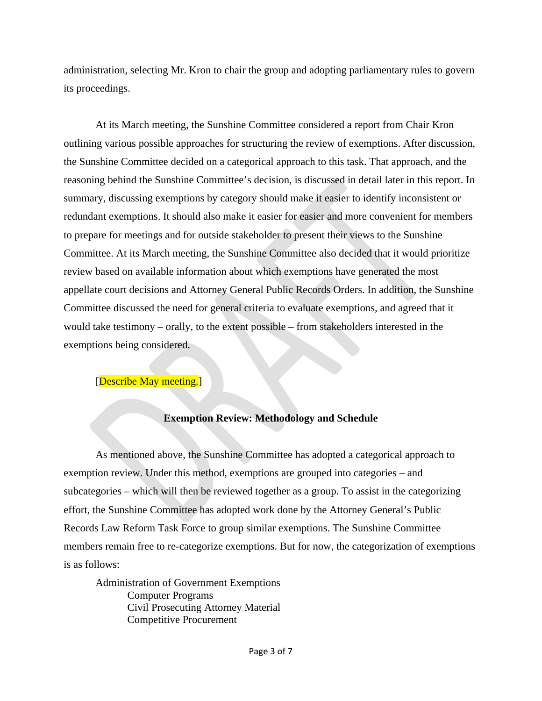administration, selecting Mr. Kron to chair the group and adopting parliamentary rules to govern its proceedings.

At its March meeting, the Sunshine Committee considered a report from Chair Kron outlining various possible approaches for structuring the review of exemptions. After discussion, the Sunshine Committee decided on a categorical approach to this task. That approach, and the reasoning behind the Sunshine Committee's decision, is discussed in detail later in this report. In summary, discussing exemptions by category should make it easier to identify inconsistent or redundant exemptions. It should also make it easier for easier and more convenient for members to prepare for meetings and for outside stakeholder to present their views to the Sunshine Committee. At its March meeting, the Sunshine Committee also decided that it would prioritize review based on available information about which exemptions have generated the most appellate court decisions and Attorney General Public Records Orders. In addition, the Sunshine Committee discussed the need for general criteria to evaluate exemptions, and agreed that it would take testimony – orally, to the extent possible – from stakeholders interested in the exemptions being considered.

#### [Describe May meeting.]

#### **Exemption Review: Methodology and Schedule**

 As mentioned above, the Sunshine Committee has adopted a categorical approach to exemption review. Under this method, exemptions are grouped into categories – and subcategories – which will then be reviewed together as a group. To assist in the categorizing effort, the Sunshine Committee has adopted work done by the Attorney General's Public Records Law Reform Task Force to group similar exemptions. The Sunshine Committee members remain free to re-categorize exemptions. But for now, the categorization of exemptions is as follows:

Administration of Government Exemptions Computer Programs Civil Prosecuting Attorney Material Competitive Procurement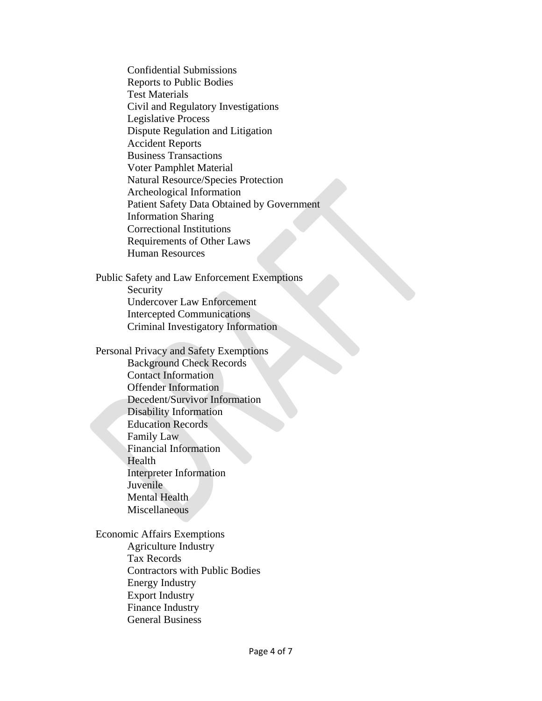Confidential Submissions Reports to Public Bodies Test Materials Civil and Regulatory Investigations Legislative Process Dispute Regulation and Litigation Accident Reports Business Transactions Voter Pamphlet Material Natural Resource/Species Protection Archeological Information Patient Safety Data Obtained by Government Information Sharing Correctional Institutions Requirements of Other Laws Human Resources

Public Safety and Law Enforcement Exemptions Security Undercover Law Enforcement Intercepted Communications Criminal Investigatory Information

Personal Privacy and Safety Exemptions Background Check Records Contact Information Offender Information Decedent/Survivor Information Disability Information Education Records Family Law Financial Information Health Interpreter Information Juvenile Mental Health **Miscellaneous** 

Economic Affairs Exemptions Agriculture Industry Tax Records Contractors with Public Bodies Energy Industry Export Industry Finance Industry General Business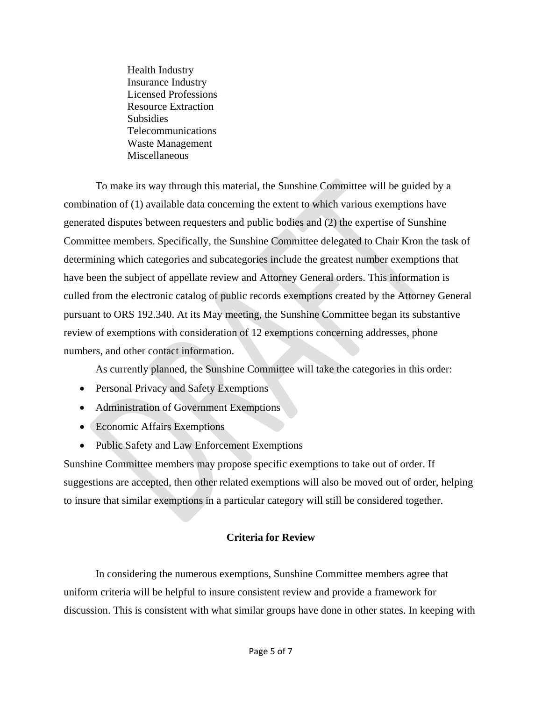Health Industry Insurance Industry Licensed Professions Resource Extraction Subsidies Telecommunications Waste Management Miscellaneous

 To make its way through this material, the Sunshine Committee will be guided by a combination of (1) available data concerning the extent to which various exemptions have generated disputes between requesters and public bodies and (2) the expertise of Sunshine Committee members. Specifically, the Sunshine Committee delegated to Chair Kron the task of determining which categories and subcategories include the greatest number exemptions that have been the subject of appellate review and Attorney General orders. This information is culled from the electronic catalog of public records exemptions created by the Attorney General pursuant to ORS 192.340. At its May meeting, the Sunshine Committee began its substantive review of exemptions with consideration of 12 exemptions concerning addresses, phone numbers, and other contact information.

As currently planned, the Sunshine Committee will take the categories in this order:

- Personal Privacy and Safety Exemptions
- Administration of Government Exemptions
- Economic Affairs Exemptions
- Public Safety and Law Enforcement Exemptions

Sunshine Committee members may propose specific exemptions to take out of order. If suggestions are accepted, then other related exemptions will also be moved out of order, helping to insure that similar exemptions in a particular category will still be considered together.

## **Criteria for Review**

In considering the numerous exemptions, Sunshine Committee members agree that uniform criteria will be helpful to insure consistent review and provide a framework for discussion. This is consistent with what similar groups have done in other states. In keeping with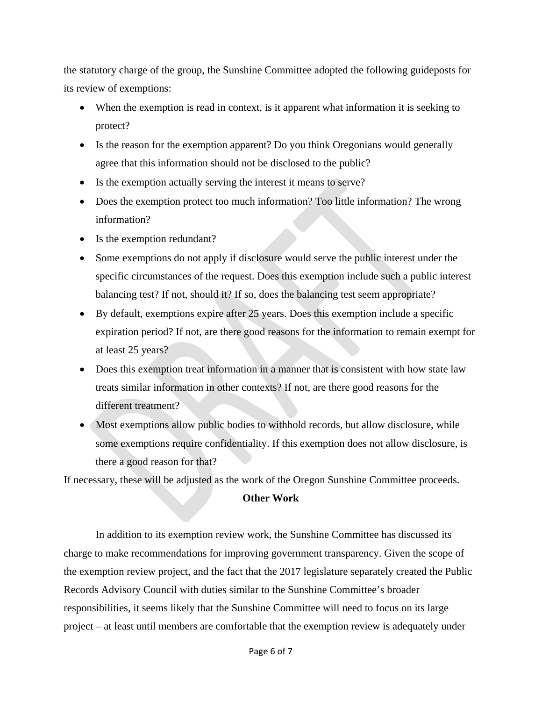the statutory charge of the group, the Sunshine Committee adopted the following guideposts for its review of exemptions:

- When the exemption is read in context, is it apparent what information it is seeking to protect?
- Is the reason for the exemption apparent? Do you think Oregonians would generally agree that this information should not be disclosed to the public?
- Is the exemption actually serving the interest it means to serve?
- Does the exemption protect too much information? Too little information? The wrong information?
- Is the exemption redundant?
- Some exemptions do not apply if disclosure would serve the public interest under the specific circumstances of the request. Does this exemption include such a public interest balancing test? If not, should it? If so, does the balancing test seem appropriate?
- By default, exemptions expire after 25 years. Does this exemption include a specific expiration period? If not, are there good reasons for the information to remain exempt for at least 25 years?
- Does this exemption treat information in a manner that is consistent with how state law treats similar information in other contexts? If not, are there good reasons for the different treatment?
- Most exemptions allow public bodies to withhold records, but allow disclosure, while some exemptions require confidentiality. If this exemption does not allow disclosure, is there a good reason for that?

If necessary, these will be adjusted as the work of the Oregon Sunshine Committee proceeds.

# **Other Work**

 In addition to its exemption review work, the Sunshine Committee has discussed its charge to make recommendations for improving government transparency. Given the scope of the exemption review project, and the fact that the 2017 legislature separately created the Public Records Advisory Council with duties similar to the Sunshine Committee's broader responsibilities, it seems likely that the Sunshine Committee will need to focus on its large project – at least until members are comfortable that the exemption review is adequately under